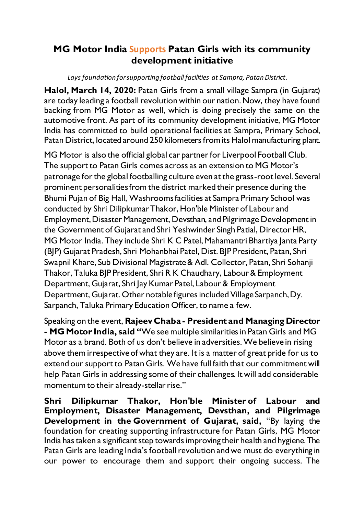## **MG Motor India Supports Patan Girls with its community development initiative**

*Lays foundation for supporting football facilities at Sampra, Patan District.*

**Halol, March 14, 2020:** Patan Girls from a small village Sampra (in Gujarat) are today leading a football revolution within our nation. Now, they have found backing from MG Motor as well, which is doing precisely the same on the automotive front. As part of its community development initiative, MG Motor India has committed to build operational facilities at Sampra, Primary School, Patan District, located around 250 kilometers from its Halol manufacturing plant.

MG Motor is also the official global car partner for Liverpool Football Club. The support to Patan Girls comes across as an extension to MG Motor's patronage for the global footballing culture even at the grass-root level. Several prominent personalities from the district marked their presence during the Bhumi Pujan of Big Hall, Washrooms facilities at Sampra Primary School was conducted by Shri Dilipkumar Thakor, Hon'ble Minister of Labour and Employment, Disaster Management, Devsthan, and Pilgrimage Development in the Government of Gujarat and Shri Yeshwinder Singh Patial, Director HR, MG Motor India. They include Shri K C Patel, Mahamantri Bhartiya Janta Party (BJP) Gujarat Pradesh, Shri Mohanbhai Patel, Dist. BJP President, Patan, Shri Swapnil Khare, Sub Divisional Magistrate & Adl. Collector, Patan, Shri Sohanji Thakor, Taluka BJP President, Shri R K Chaudhary, Labour & Employment Department, Gujarat, Shri Jay Kumar Patel, Labour & Employment Department, Gujarat. Other notable figures included Village Sarpanch, Dy. Sarpanch, Taluka Primary Education Officer, to name a few.

Speaking on the event, **Rajeev Chaba - President and Managing Director - MG Motor India, said "**We see multiple similarities in Patan Girls and MG Motor as a brand. Both of us don't believe in adversities. We believe in rising above them irrespective of what they are. It is a matter of great pride for us to extend our support to Patan Girls. We have full faith that our commitment will help Patan Girls in addressing some of their challenges. It will add considerable momentum to their already-stellar rise."

**Shri Dilipkumar Thakor, Hon'ble Minister of Labour and Employment, Disaster Management, Devsthan, and Pilgrimage Development in the [Government of Gujarat](https://en.m.wikipedia.org/wiki/Government_of_Gujarat), said,** "By laying the foundation for creating supporting infrastructure for Patan Girls, MG Motor India has taken a significant step towards improving their health and hygiene. The Patan Girls are leading India's football revolution and we must do everything in our power to encourage them and support their ongoing success. The